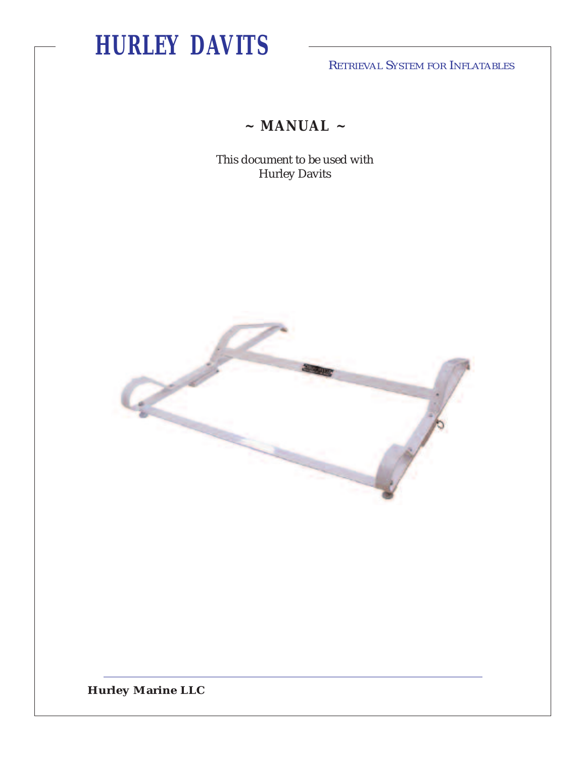RETRIEVAL SYSTEM FOR INFLATABLES

**~ MANUAL ~**

This document to be used with Hurley Davits



**Hurley Marine LLC**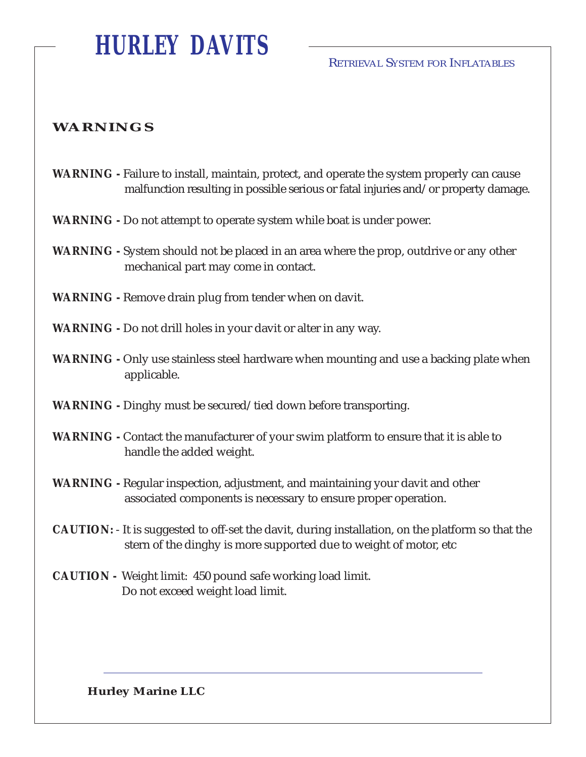RETRIEVAL SYSTEM FOR INFLATABLES

### **WARNINGS**

- **WARNING -** Failure to install, maintain, protect, and operate the system properly can cause malfunction resulting in possible serious or fatal injuries and/or property damage.
- **WARNING -** Do not attempt to operate system while boat is under power.
- **WARNING -** System should not be placed in an area where the prop, outdrive or any other mechanical part may come in contact.

**WARNING -** Remove drain plug from tender when on davit.

- **WARNING -** Do not drill holes in your davit or alter in any way.
- **WARNING -** Only use stainless steel hardware when mounting and use a backing plate when applicable.
- **WARNING -** Dinghy must be secured/tied down before transporting.
- **WARNING -** Contact the manufacturer of your swim platform to ensure that it is able to handle the added weight.
- **WARNING -** Regular inspection, adjustment, and maintaining your davit and other associated components is necessary to ensure proper operation.
- **CAUTION:** It is suggested to off-set the davit, during installation, on the platform so that the stern of the dinghy is more supported due to weight of motor, etc
- **CAUTION** Weight limit: 450 pound safe working load limit. Do not exceed weight load limit.

**Hurley Marine LLC**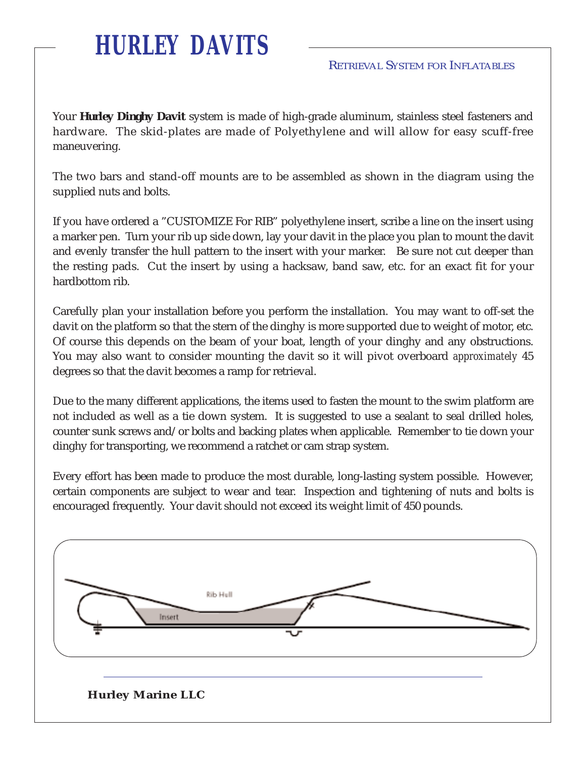Your *Hurley Dinghy Davit* system is made of high-grade aluminum, stainless steel fasteners and hardware. The skid-plates are made of Polyethylene and will allow for easy scuff-free maneuvering.

The two bars and stand-off mounts are to be assembled as shown in the diagram using the supplied nuts and bolts.

If you have ordered a "CUSTOMIZE For RIB" polyethylene insert, scribe a line on the insert using a marker pen. Turn your rib up side down, lay your davit in the place you plan to mount the davit and evenly transfer the hull pattern to the insert with your marker. Be sure not cut deeper than the resting pads. Cut the insert by using a hacksaw, band saw, etc. for an exact fit for your hardbottom rib.

Carefully plan your installation before you perform the installation. You may want to off-set the davit on the platform so that the stern of the dinghy is more supported due to weight of motor, etc. Of course this depends on the beam of your boat, length of your dinghy and any obstructions. You may also want to consider mounting the davit so it will pivot overboard *approximately* 45 degrees so that the davit becomes a ramp for retrieval.

Due to the many different applications, the items used to fasten the mount to the swim platform are not included as well as a tie down system. It is suggested to use a sealant to seal drilled holes, counter sunk screws and/or bolts and backing plates when applicable. Remember to tie down your dinghy for transporting, we recommend a ratchet or cam strap system.

Every effort has been made to produce the most durable, long-lasting system possible. However, certain components are subject to wear and tear. Inspection and tightening of nuts and bolts is encouraged frequently. Your davit should not exceed its weight limit of 450 pounds.